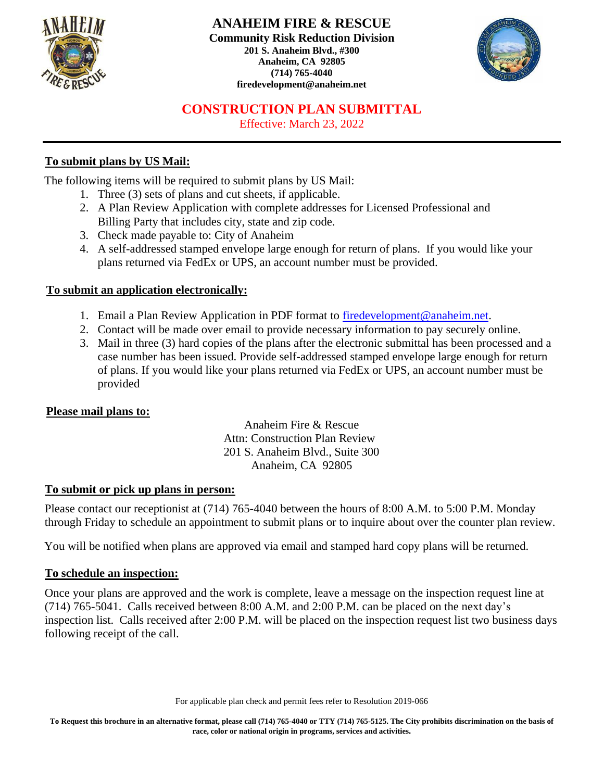



## **CONSTRUCTION PLAN SUBMITTAL**

Effective: March 23, 2022

## **To submit plans by US Mail:**

The following items will be required to submit plans by US Mail:

- 1. Three (3) sets of plans and cut sheets, if applicable.
- 2. A Plan Review Application with complete addresses for Licensed Professional and Billing Party that includes city, state and zip code.
- 3. Check made payable to: City of Anaheim
- 4. A self-addressed stamped envelope large enough for return of plans. If you would like your plans returned via FedEx or UPS, an account number must be provided.

## **To submit an application electronically:**

- 1. Email a Plan Review Application in PDF format to [firedevelopment@anaheim.net.](mailto:firedevelopment@anaheim.net)
- 2. Contact will be made over email to provide necessary information to pay securely online.
- 3. Mail in three (3) hard copies of the plans after the electronic submittal has been processed and a case number has been issued. Provide self-addressed stamped envelope large enough for return of plans. If you would like your plans returned via FedEx or UPS, an account number must be provided

#### **Please mail plans to:**

Anaheim Fire & Rescue Attn: Construction Plan Review 201 S. Anaheim Blvd., Suite 300 Anaheim, CA 92805

#### **To submit or pick up plans in person:**

Please contact our receptionist at (714) 765-4040 between the hours of 8:00 A.M. to 5:00 P.M. Monday through Friday to schedule an appointment to submit plans or to inquire about over the counter plan review.

You will be notified when plans are approved via email and stamped hard copy plans will be returned.

#### **To schedule an inspection:**

Once your plans are approved and the work is complete, leave a message on the inspection request line at (714) 765-5041. Calls received between 8:00 A.M. and 2:00 P.M. can be placed on the next day's inspection list. Calls received after 2:00 P.M. will be placed on the inspection request list two business days following receipt of the call.

For applicable plan check and permit fees refer to Resolution 2019-066

**To Request this brochure in an alternative format, please call (714) 765-4040 or TTY (714) 765-5125. The City prohibits discrimination on the basis of race, color or national origin in programs, services and activities.**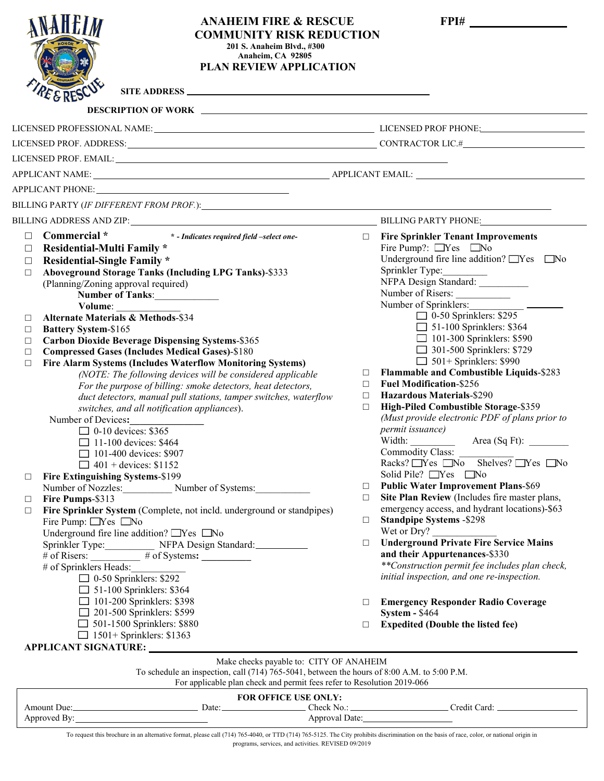| <b>ANAHEIM FIRE &amp; RESCUE</b><br><b>COMMUNITY RISK REDUCTION</b><br>201 S. Anaheim Blvd., #300<br>Anaheim, CA 92805<br>PLAN REVIEW APPLICATION<br>SITE ADDRESS                                                                                                                                                                                                                                                                                                                                                                                                                                                                                                                                                                                                                                                                                                                                                                                                                              |                                      |                                                                                                                                                                                                                                                                                                                                                                                                                                                                                                                                                                                                                                                                              |  |
|------------------------------------------------------------------------------------------------------------------------------------------------------------------------------------------------------------------------------------------------------------------------------------------------------------------------------------------------------------------------------------------------------------------------------------------------------------------------------------------------------------------------------------------------------------------------------------------------------------------------------------------------------------------------------------------------------------------------------------------------------------------------------------------------------------------------------------------------------------------------------------------------------------------------------------------------------------------------------------------------|--------------------------------------|------------------------------------------------------------------------------------------------------------------------------------------------------------------------------------------------------------------------------------------------------------------------------------------------------------------------------------------------------------------------------------------------------------------------------------------------------------------------------------------------------------------------------------------------------------------------------------------------------------------------------------------------------------------------------|--|
|                                                                                                                                                                                                                                                                                                                                                                                                                                                                                                                                                                                                                                                                                                                                                                                                                                                                                                                                                                                                |                                      |                                                                                                                                                                                                                                                                                                                                                                                                                                                                                                                                                                                                                                                                              |  |
|                                                                                                                                                                                                                                                                                                                                                                                                                                                                                                                                                                                                                                                                                                                                                                                                                                                                                                                                                                                                |                                      |                                                                                                                                                                                                                                                                                                                                                                                                                                                                                                                                                                                                                                                                              |  |
|                                                                                                                                                                                                                                                                                                                                                                                                                                                                                                                                                                                                                                                                                                                                                                                                                                                                                                                                                                                                |                                      |                                                                                                                                                                                                                                                                                                                                                                                                                                                                                                                                                                                                                                                                              |  |
|                                                                                                                                                                                                                                                                                                                                                                                                                                                                                                                                                                                                                                                                                                                                                                                                                                                                                                                                                                                                |                                      |                                                                                                                                                                                                                                                                                                                                                                                                                                                                                                                                                                                                                                                                              |  |
|                                                                                                                                                                                                                                                                                                                                                                                                                                                                                                                                                                                                                                                                                                                                                                                                                                                                                                                                                                                                |                                      |                                                                                                                                                                                                                                                                                                                                                                                                                                                                                                                                                                                                                                                                              |  |
|                                                                                                                                                                                                                                                                                                                                                                                                                                                                                                                                                                                                                                                                                                                                                                                                                                                                                                                                                                                                |                                      |                                                                                                                                                                                                                                                                                                                                                                                                                                                                                                                                                                                                                                                                              |  |
|                                                                                                                                                                                                                                                                                                                                                                                                                                                                                                                                                                                                                                                                                                                                                                                                                                                                                                                                                                                                |                                      |                                                                                                                                                                                                                                                                                                                                                                                                                                                                                                                                                                                                                                                                              |  |
|                                                                                                                                                                                                                                                                                                                                                                                                                                                                                                                                                                                                                                                                                                                                                                                                                                                                                                                                                                                                |                                      |                                                                                                                                                                                                                                                                                                                                                                                                                                                                                                                                                                                                                                                                              |  |
| BILLING ADDRESS AND ZIP: University of the state of the state of the state of the state of the state of the state of the state of the state of the state of the state of the state of the state of the state of the state of t                                                                                                                                                                                                                                                                                                                                                                                                                                                                                                                                                                                                                                                                                                                                                                 |                                      | BILLING PARTY PHONE: NAMEL PARTY PHONE                                                                                                                                                                                                                                                                                                                                                                                                                                                                                                                                                                                                                                       |  |
| <b>Residential-Multi Family *</b><br>□<br><b>Residential-Single Family *</b><br>□<br><b>Aboveground Storage Tanks (Including LPG Tanks)-\$333</b><br>$\Box$<br>(Planning/Zoning approval required)<br>Number of Tanks:<br>Volume:<br><b>Alternate Materials &amp; Methods-\$34</b><br>□<br><b>Battery System-\$165</b><br>$\Box$<br><b>Carbon Dioxide Beverage Dispensing Systems-\$365</b><br>$\Box$<br><b>Compressed Gases (Includes Medical Gases)-\$180</b><br>$\Box$<br>Fire Alarm Systems (Includes Waterflow Monitoring Systems)<br>$\Box$<br>(NOTE: The following devices will be considered applicable<br>For the purpose of billing: smoke detectors, heat detectors,<br>duct detectors, manual pull stations, tamper switches, waterflow<br>switches, and all notification appliances).<br>Number of Devices:<br>$\Box$ 0-10 devices: \$365<br>$\Box$ 11-100 devices: \$464<br>101-400 devices: \$907<br>$\Box$ 401 + devices: \$1152<br>Fire Extinguishing Systems-\$199<br>$\Box$ | $\Box$<br>$\Box$<br>$\Box$<br>$\Box$ | Fire Pump?: Nes No<br>Underground fire line addition? Nes No<br>Sprinkler Type:<br>NFPA Design Standard: __________<br>Number of Risers:<br>Number of Sprinklers:<br>$\Box$ 0-50 Sprinklers: \$295<br>$\Box$ 51-100 Sprinklers: \$364<br>101-300 Sprinklers: \$590<br>301-500 Sprinklers: \$729<br>$\Box$ 501+ Sprinklers: \$990<br>Flammable and Combustible Liquids-\$283<br><b>Fuel Modification-\$256</b><br><b>Hazardous Materials-\$290</b><br>High-Piled Combustible Storage-\$359<br>(Must provide electronic PDF of plans prior to<br>permit issuance)<br>Width:<br>Area (Sq Ft):<br><b>Commodity Class:</b><br>Racks? Yes No Shelves? Yes No<br>Solid Pile? Nes No |  |
| Number of Nozzles: Number of Systems:                                                                                                                                                                                                                                                                                                                                                                                                                                                                                                                                                                                                                                                                                                                                                                                                                                                                                                                                                          | $\Box$                               | <b>Public Water Improvement Plans-\$69</b>                                                                                                                                                                                                                                                                                                                                                                                                                                                                                                                                                                                                                                   |  |
| Fire Pumps-\$313<br>□                                                                                                                                                                                                                                                                                                                                                                                                                                                                                                                                                                                                                                                                                                                                                                                                                                                                                                                                                                          | $\Box$                               | Site Plan Review (Includes fire master plans,                                                                                                                                                                                                                                                                                                                                                                                                                                                                                                                                                                                                                                |  |
| Fire Sprinkler System (Complete, not incld. underground or standpipes)<br>$\Box$<br>Fire Pump: Yes No                                                                                                                                                                                                                                                                                                                                                                                                                                                                                                                                                                                                                                                                                                                                                                                                                                                                                          | $\Box$                               | emergency access, and hydrant locations)-\$63<br><b>Standpipe Systems -\$298</b>                                                                                                                                                                                                                                                                                                                                                                                                                                                                                                                                                                                             |  |
| Underground fire line addition? Nes No                                                                                                                                                                                                                                                                                                                                                                                                                                                                                                                                                                                                                                                                                                                                                                                                                                                                                                                                                         |                                      | Wet or $Dry$ ?                                                                                                                                                                                                                                                                                                                                                                                                                                                                                                                                                                                                                                                               |  |
|                                                                                                                                                                                                                                                                                                                                                                                                                                                                                                                                                                                                                                                                                                                                                                                                                                                                                                                                                                                                | $\Box$                               | <b>Underground Private Fire Service Mains</b>                                                                                                                                                                                                                                                                                                                                                                                                                                                                                                                                                                                                                                |  |
| Sprinkler Type: NFPA Design Standard: __________<br># of Risers: _________ # of Systems: ________                                                                                                                                                                                                                                                                                                                                                                                                                                                                                                                                                                                                                                                                                                                                                                                                                                                                                              |                                      | and their Appurtenances-\$330                                                                                                                                                                                                                                                                                                                                                                                                                                                                                                                                                                                                                                                |  |
| # of Sprinklers Heads:<br>$\Box$ 0-50 Sprinklers: \$292                                                                                                                                                                                                                                                                                                                                                                                                                                                                                                                                                                                                                                                                                                                                                                                                                                                                                                                                        |                                      | **Construction permit fee includes plan check,<br>initial inspection, and one re-inspection.                                                                                                                                                                                                                                                                                                                                                                                                                                                                                                                                                                                 |  |
| 51-100 Sprinklers: \$364                                                                                                                                                                                                                                                                                                                                                                                                                                                                                                                                                                                                                                                                                                                                                                                                                                                                                                                                                                       |                                      |                                                                                                                                                                                                                                                                                                                                                                                                                                                                                                                                                                                                                                                                              |  |
| 101-200 Sprinklers: \$398                                                                                                                                                                                                                                                                                                                                                                                                                                                                                                                                                                                                                                                                                                                                                                                                                                                                                                                                                                      | $\Box$                               | <b>Emergency Responder Radio Coverage</b>                                                                                                                                                                                                                                                                                                                                                                                                                                                                                                                                                                                                                                    |  |
| 201-500 Sprinklers: \$599                                                                                                                                                                                                                                                                                                                                                                                                                                                                                                                                                                                                                                                                                                                                                                                                                                                                                                                                                                      |                                      | <b>System - \$464</b>                                                                                                                                                                                                                                                                                                                                                                                                                                                                                                                                                                                                                                                        |  |
| 501-1500 Sprinklers: \$880                                                                                                                                                                                                                                                                                                                                                                                                                                                                                                                                                                                                                                                                                                                                                                                                                                                                                                                                                                     | $\Box$                               | <b>Expedited (Double the listed fee)</b>                                                                                                                                                                                                                                                                                                                                                                                                                                                                                                                                                                                                                                     |  |
| $\Box$ 1501+ Sprinklers: \$1363                                                                                                                                                                                                                                                                                                                                                                                                                                                                                                                                                                                                                                                                                                                                                                                                                                                                                                                                                                |                                      |                                                                                                                                                                                                                                                                                                                                                                                                                                                                                                                                                                                                                                                                              |  |

| Make checks payable to: CITY OF ANAHEIM                                                     |  |
|---------------------------------------------------------------------------------------------|--|
| To schedule an inspection, call (714) 765-5041, between the hours of 8:00 A.M. to 5:00 P.M. |  |
| For applicable plan check and permit fees refer to Resolution 2019-066                      |  |

| <b>FOR OFFICE USE ONLY:</b> |       |                |              |  |  |  |
|-----------------------------|-------|----------------|--------------|--|--|--|
| Amount Due:                 | Date: | Theck No.:     | Credit Card: |  |  |  |
| Approved By:                |       | Approval Date: |              |  |  |  |

To request this brochure in an alternative format, please call (714) 765-4040, or TTD (714) 765-5125. The City prohibits discrimination on the basis of race, color, or national origin in programs, services, and activities. REVISED 09/2019